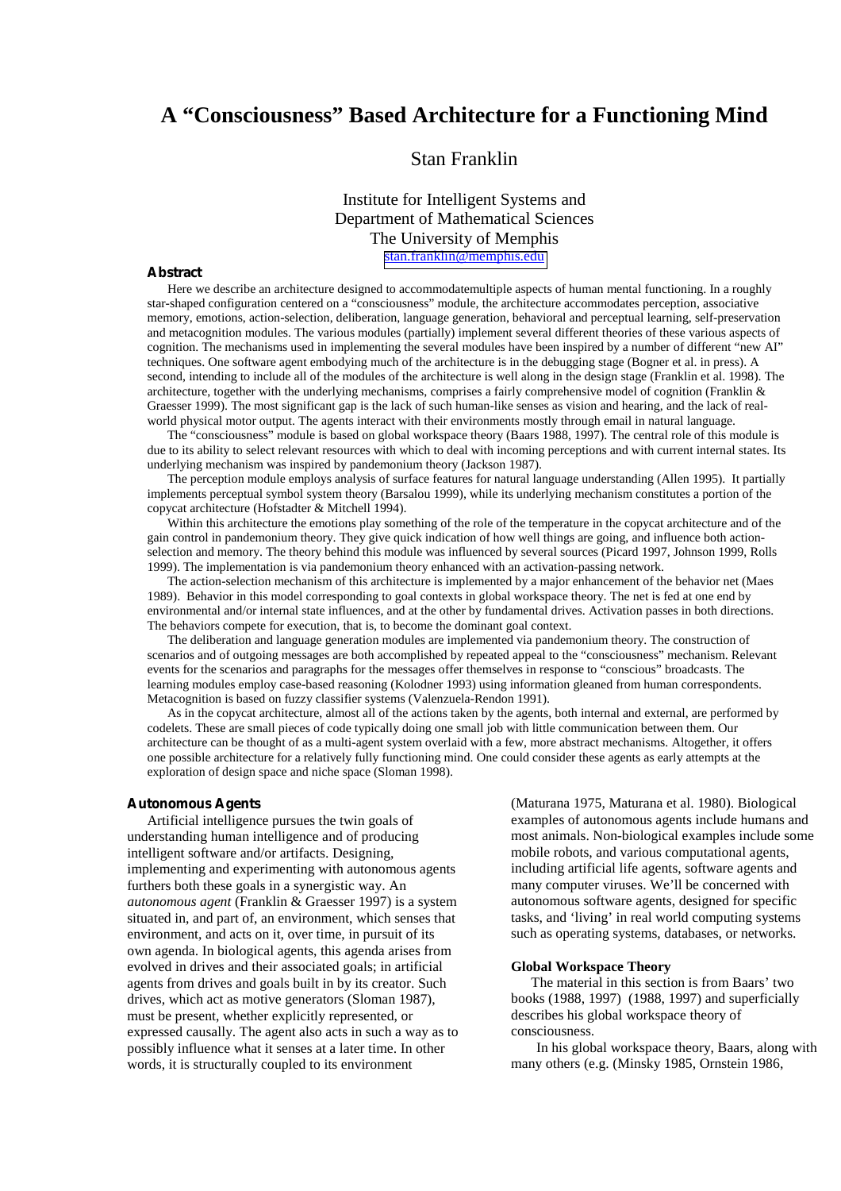# **A "Consciousness" Based Architecture for a Functioning Mind**

# Stan Franklin

Institute for Intelligent Systems and Department of Mathematical Sciences The University of Memphis [stan.franklin@memphis.edu](mailto:stan.franklin@memphis.edu)

# **Abstract**

Here we describe an architecture designed to accommodatemultiple aspects of human mental functioning. In a roughly star-shaped configuration centered on a "consciousness" module, the architecture accommodates perception, associative memory, emotions, action-selection, deliberation, language generation, behavioral and perceptual learning, self-preservation and metacognition modules. The various modules (partially) implement several different theories of these various aspects of cognition. The mechanisms used in implementing the several modules have been inspired by a number of different "new AI" techniques. One software agent embodying much of the architecture is in the debugging stage (Bogner et al. in press). A second, intending to include all of the modules of the architecture is well along in the design stage (Franklin et al. 1998). The architecture, together with the underlying mechanisms, comprises a fairly comprehensive model of cognition (Franklin & Graesser 1999). The most significant gap is the lack of such human-like senses as vision and hearing, and the lack of realworld physical motor output. The agents interact with their environments mostly through email in natural language.

The "consciousness" module is based on global workspace theory (Baars 1988, 1997). The central role of this module is due to its ability to select relevant resources with which to deal with incoming perceptions and with current internal states. Its underlying mechanism was inspired by pandemonium theory (Jackson 1987).

The perception module employs analysis of surface features for natural language understanding (Allen 1995). It partially implements perceptual symbol system theory (Barsalou 1999), while its underlying mechanism constitutes a portion of the copycat architecture (Hofstadter & Mitchell 1994).

Within this architecture the emotions play something of the role of the temperature in the copycat architecture and of the gain control in pandemonium theory. They give quick indication of how well things are going, and influence both actionselection and memory. The theory behind this module was influenced by several sources (Picard 1997, Johnson 1999, Rolls 1999). The implementation is via pandemonium theory enhanced with an activation-passing network.

The action-selection mechanism of this architecture is implemented by a major enhancement of the behavior net (Maes 1989). Behavior in this model corresponding to goal contexts in global workspace theory. The net is fed at one end by environmental and/or internal state influences, and at the other by fundamental drives. Activation passes in both directions. The behaviors compete for execution, that is, to become the dominant goal context.

The deliberation and language generation modules are implemented via pandemonium theory. The construction of scenarios and of outgoing messages are both accomplished by repeated appeal to the "consciousness" mechanism. Relevant events for the scenarios and paragraphs for the messages offer themselves in response to "conscious" broadcasts. The learning modules employ case-based reasoning (Kolodner 1993) using information gleaned from human correspondents. Metacognition is based on fuzzy classifier systems (Valenzuela-Rendon 1991).

As in the copycat architecture, almost all of the actions taken by the agents, both internal and external, are performed by codelets. These are small pieces of code typically doing one small job with little communication between them. Our architecture can be thought of as a multi-agent system overlaid with a few, more abstract mechanisms. Altogether, it offers one possible architecture for a relatively fully functioning mind. One could consider these agents as early attempts at the exploration of design space and niche space (Sloman 1998).

#### **Autonomous Agents**

Artificial intelligence pursues the twin goals of understanding human intelligence and of producing intelligent software and/or artifacts. Designing, implementing and experimenting with autonomous agents furthers both these goals in a synergistic way. An *autonomous agent* (Franklin & Graesser 1997) is a system situated in, and part of, an environment, which senses that environment, and acts on it, over time, in pursuit of its own agenda. In biological agents, this agenda arises from evolved in drives and their associated goals; in artificial agents from drives and goals built in by its creator. Such drives, which act as motive generators (Sloman 1987), must be present, whether explicitly represented, or expressed causally. The agent also acts in such a way as to possibly influence what it senses at a later time. In other words, it is structurally coupled to its environment

(Maturana 1975, Maturana et al. 1980). Biological examples of autonomous agents include humans and most animals. Non-biological examples include some mobile robots, and various computational agents, including artificial life agents, software agents and many computer viruses. We'll be concerned with autonomous software agents, designed for specific tasks, and 'living' in real world computing systems such as operating systems, databases, or networks.

#### **Global Workspace Theory**

The material in this section is from Baars' two books (1988, 1997) (1988, 1997) and superficially describes his global workspace theory of consciousness.

In his global workspace theory, Baars, along with many others (e.g. (Minsky 1985, Ornstein 1986,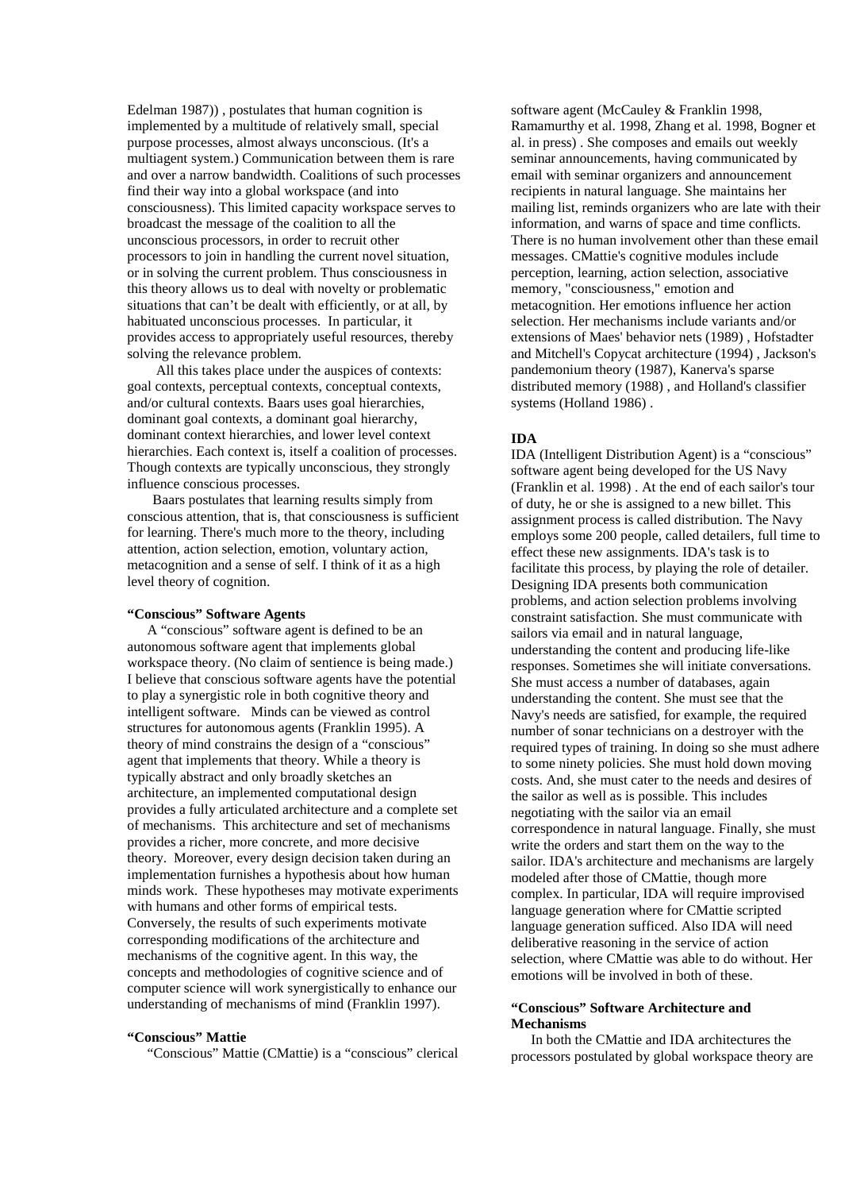Edelman 1987)) , postulates that human cognition is implemented by a multitude of relatively small, special purpose processes, almost always unconscious. (It's a multiagent system.) Communication between them is rare and over a narrow bandwidth. Coalitions of such processes find their way into a global workspace (and into consciousness). This limited capacity workspace serves to broadcast the message of the coalition to all the unconscious processors, in order to recruit other processors to join in handling the current novel situation, or in solving the current problem. Thus consciousness in this theory allows us to deal with novelty or problematic situations that can't be dealt with efficiently, or at all, by habituated unconscious processes. In particular, it provides access to appropriately useful resources, thereby solving the relevance problem.

 All this takes place under the auspices of contexts: goal contexts, perceptual contexts, conceptual contexts, and/or cultural contexts. Baars uses goal hierarchies, dominant goal contexts, a dominant goal hierarchy, dominant context hierarchies, and lower level context hierarchies. Each context is, itself a coalition of processes. Though contexts are typically unconscious, they strongly influence conscious processes.

Baars postulates that learning results simply from conscious attention, that is, that consciousness is sufficient for learning. There's much more to the theory, including attention, action selection, emotion, voluntary action, metacognition and a sense of self. I think of it as a high level theory of cognition.

# **"Conscious" Software Agents**

A "conscious" software agent is defined to be an autonomous software agent that implements global workspace theory. (No claim of sentience is being made.) I believe that conscious software agents have the potential to play a synergistic role in both cognitive theory and intelligent software. Minds can be viewed as control structures for autonomous agents (Franklin 1995). A theory of mind constrains the design of a "conscious" agent that implements that theory. While a theory is typically abstract and only broadly sketches an architecture, an implemented computational design provides a fully articulated architecture and a complete set of mechanisms. This architecture and set of mechanisms provides a richer, more concrete, and more decisive theory. Moreover, every design decision taken during an implementation furnishes a hypothesis about how human minds work. These hypotheses may motivate experiments with humans and other forms of empirical tests. Conversely, the results of such experiments motivate corresponding modifications of the architecture and mechanisms of the cognitive agent. In this way, the concepts and methodologies of cognitive science and of computer science will work synergistically to enhance our understanding of mechanisms of mind (Franklin 1997).

## **"Conscious" Mattie**

"Conscious" Mattie (CMattie) is a "conscious" clerical

software agent (McCauley & Franklin 1998, Ramamurthy et al. 1998, Zhang et al. 1998, Bogner et al. in press) . She composes and emails out weekly seminar announcements, having communicated by email with seminar organizers and announcement recipients in natural language. She maintains her mailing list, reminds organizers who are late with their information, and warns of space and time conflicts. There is no human involvement other than these email messages. CMattie's cognitive modules include perception, learning, action selection, associative memory, "consciousness," emotion and metacognition. Her emotions influence her action selection. Her mechanisms include variants and/or extensions of Maes' behavior nets (1989) , Hofstadter and Mitchell's Copycat architecture (1994) , Jackson's pandemonium theory (1987), Kanerva's sparse distributed memory (1988) , and Holland's classifier systems (Holland 1986) .

#### **IDA**

IDA (Intelligent Distribution Agent) is a "conscious" software agent being developed for the US Navy (Franklin et al. 1998) . At the end of each sailor's tour of duty, he or she is assigned to a new billet. This assignment process is called distribution. The Navy employs some 200 people, called detailers, full time to effect these new assignments. IDA's task is to facilitate this process, by playing the role of detailer. Designing IDA presents both communication problems, and action selection problems involving constraint satisfaction. She must communicate with sailors via email and in natural language, understanding the content and producing life-like responses. Sometimes she will initiate conversations. She must access a number of databases, again understanding the content. She must see that the Navy's needs are satisfied, for example, the required number of sonar technicians on a destroyer with the required types of training. In doing so she must adhere to some ninety policies. She must hold down moving costs. And, she must cater to the needs and desires of the sailor as well as is possible. This includes negotiating with the sailor via an email correspondence in natural language. Finally, she must write the orders and start them on the way to the sailor. IDA's architecture and mechanisms are largely modeled after those of CMattie, though more complex. In particular, IDA will require improvised language generation where for CMattie scripted language generation sufficed. Also IDA will need deliberative reasoning in the service of action selection, where CMattie was able to do without. Her emotions will be involved in both of these.

# **"Conscious" Software Architecture and Mechanisms**

In both the CMattie and IDA architectures the processors postulated by global workspace theory are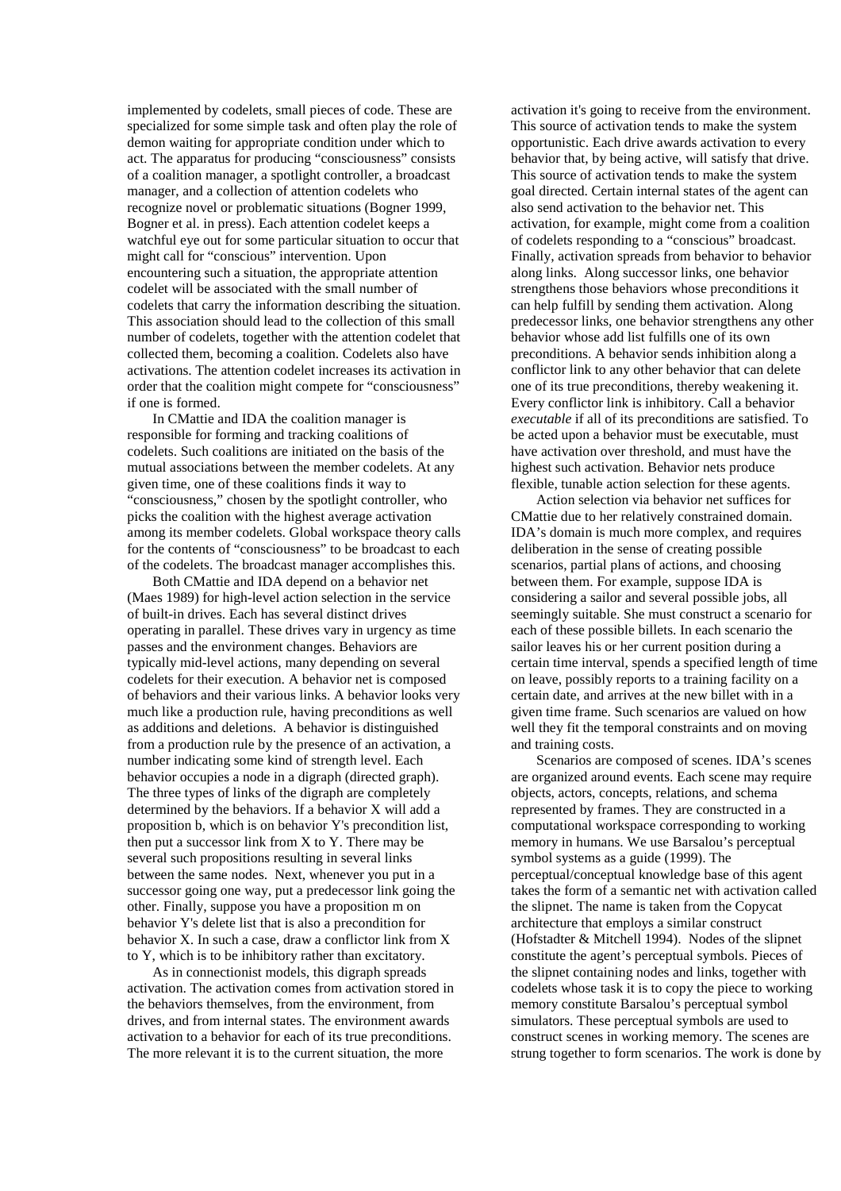implemented by codelets, small pieces of code. These are specialized for some simple task and often play the role of demon waiting for appropriate condition under which to act. The apparatus for producing "consciousness" consists of a coalition manager, a spotlight controller, a broadcast manager, and a collection of attention codelets who recognize novel or problematic situations (Bogner 1999, Bogner et al. in press). Each attention codelet keeps a watchful eye out for some particular situation to occur that might call for "conscious" intervention. Upon encountering such a situation, the appropriate attention codelet will be associated with the small number of codelets that carry the information describing the situation. This association should lead to the collection of this small number of codelets, together with the attention codelet that collected them, becoming a coalition. Codelets also have activations. The attention codelet increases its activation in order that the coalition might compete for "consciousness" if one is formed.

In CMattie and IDA the coalition manager is responsible for forming and tracking coalitions of codelets. Such coalitions are initiated on the basis of the mutual associations between the member codelets. At any given time, one of these coalitions finds it way to "consciousness," chosen by the spotlight controller, who picks the coalition with the highest average activation among its member codelets. Global workspace theory calls for the contents of "consciousness" to be broadcast to each of the codelets. The broadcast manager accomplishes this.

Both CMattie and IDA depend on a behavior net (Maes 1989) for high-level action selection in the service of built-in drives. Each has several distinct drives operating in parallel. These drives vary in urgency as time passes and the environment changes. Behaviors are typically mid-level actions, many depending on several codelets for their execution. A behavior net is composed of behaviors and their various links. A behavior looks very much like a production rule, having preconditions as well as additions and deletions. A behavior is distinguished from a production rule by the presence of an activation, a number indicating some kind of strength level. Each behavior occupies a node in a digraph (directed graph). The three types of links of the digraph are completely determined by the behaviors. If a behavior X will add a proposition b, which is on behavior Y's precondition list, then put a successor link from X to Y. There may be several such propositions resulting in several links between the same nodes. Next, whenever you put in a successor going one way, put a predecessor link going the other. Finally, suppose you have a proposition m on behavior Y's delete list that is also a precondition for behavior X. In such a case, draw a conflictor link from X to Y, which is to be inhibitory rather than excitatory.

As in connectionist models, this digraph spreads activation. The activation comes from activation stored in the behaviors themselves, from the environment, from drives, and from internal states. The environment awards activation to a behavior for each of its true preconditions. The more relevant it is to the current situation, the more

activation it's going to receive from the environment. This source of activation tends to make the system opportunistic. Each drive awards activation to every behavior that, by being active, will satisfy that drive. This source of activation tends to make the system goal directed. Certain internal states of the agent can also send activation to the behavior net. This activation, for example, might come from a coalition of codelets responding to a "conscious" broadcast. Finally, activation spreads from behavior to behavior along links. Along successor links, one behavior strengthens those behaviors whose preconditions it can help fulfill by sending them activation. Along predecessor links, one behavior strengthens any other behavior whose add list fulfills one of its own preconditions. A behavior sends inhibition along a conflictor link to any other behavior that can delete one of its true preconditions, thereby weakening it. Every conflictor link is inhibitory. Call a behavior *executable* if all of its preconditions are satisfied. To be acted upon a behavior must be executable, must have activation over threshold, and must have the highest such activation. Behavior nets produce flexible, tunable action selection for these agents.

Action selection via behavior net suffices for CMattie due to her relatively constrained domain. IDA's domain is much more complex, and requires deliberation in the sense of creating possible scenarios, partial plans of actions, and choosing between them. For example, suppose IDA is considering a sailor and several possible jobs, all seemingly suitable. She must construct a scenario for each of these possible billets. In each scenario the sailor leaves his or her current position during a certain time interval, spends a specified length of time on leave, possibly reports to a training facility on a certain date, and arrives at the new billet with in a given time frame. Such scenarios are valued on how well they fit the temporal constraints and on moving and training costs.

Scenarios are composed of scenes. IDA's scenes are organized around events. Each scene may require objects, actors, concepts, relations, and schema represented by frames. They are constructed in a computational workspace corresponding to working memory in humans. We use Barsalou's perceptual symbol systems as a guide (1999). The perceptual/conceptual knowledge base of this agent takes the form of a semantic net with activation called the slipnet. The name is taken from the Copycat architecture that employs a similar construct (Hofstadter & Mitchell 1994). Nodes of the slipnet constitute the agent's perceptual symbols. Pieces of the slipnet containing nodes and links, together with codelets whose task it is to copy the piece to working memory constitute Barsalou's perceptual symbol simulators. These perceptual symbols are used to construct scenes in working memory. The scenes are strung together to form scenarios. The work is done by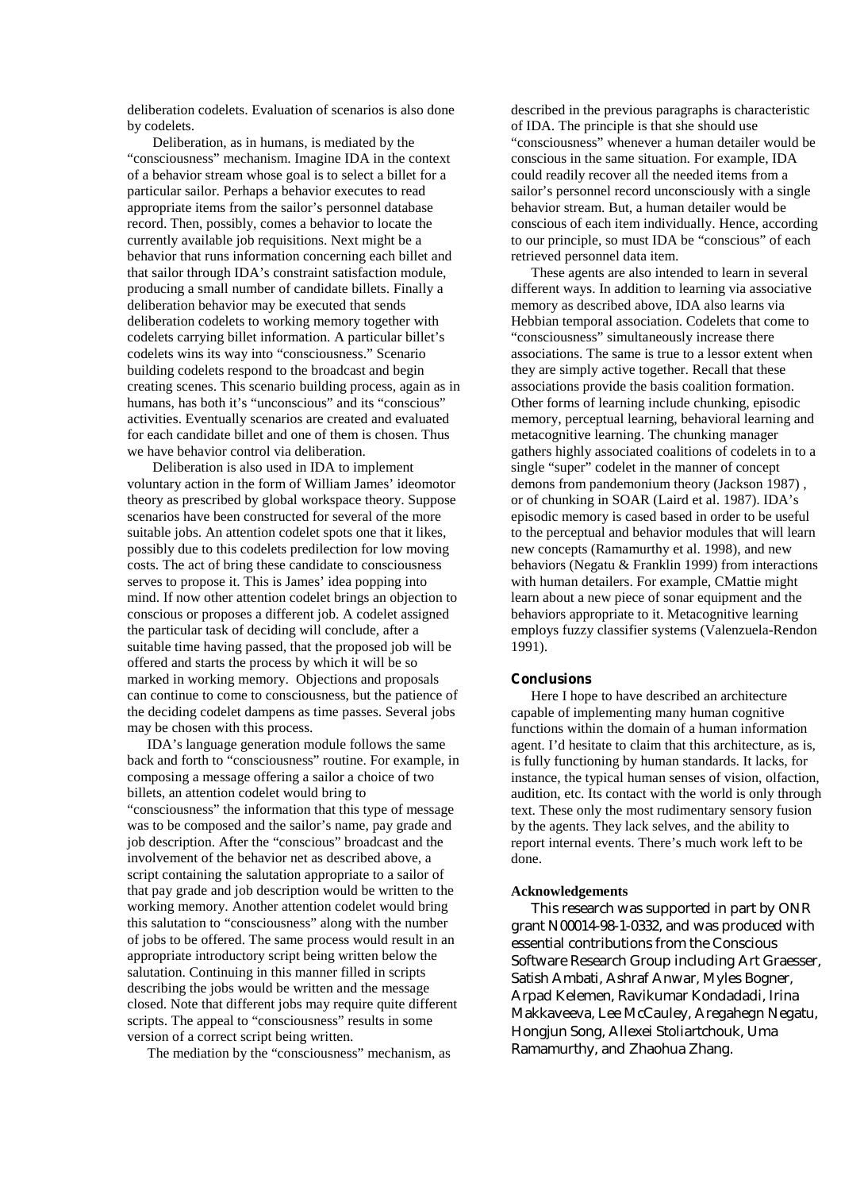deliberation codelets. Evaluation of scenarios is also done by codelets.

Deliberation, as in humans, is mediated by the "consciousness" mechanism. Imagine IDA in the context of a behavior stream whose goal is to select a billet for a particular sailor. Perhaps a behavior executes to read appropriate items from the sailor's personnel database record. Then, possibly, comes a behavior to locate the currently available job requisitions. Next might be a behavior that runs information concerning each billet and that sailor through IDA's constraint satisfaction module, producing a small number of candidate billets. Finally a deliberation behavior may be executed that sends deliberation codelets to working memory together with codelets carrying billet information. A particular billet's codelets wins its way into "consciousness." Scenario building codelets respond to the broadcast and begin creating scenes. This scenario building process, again as in humans, has both it's "unconscious" and its "conscious" activities. Eventually scenarios are created and evaluated for each candidate billet and one of them is chosen. Thus we have behavior control via deliberation.

Deliberation is also used in IDA to implement voluntary action in the form of William James' ideomotor theory as prescribed by global workspace theory. Suppose scenarios have been constructed for several of the more suitable jobs. An attention codelet spots one that it likes, possibly due to this codelets predilection for low moving costs. The act of bring these candidate to consciousness serves to propose it. This is James' idea popping into mind. If now other attention codelet brings an objection to conscious or proposes a different job. A codelet assigned the particular task of deciding will conclude, after a suitable time having passed, that the proposed job will be offered and starts the process by which it will be so marked in working memory. Objections and proposals can continue to come to consciousness, but the patience of the deciding codelet dampens as time passes. Several jobs may be chosen with this process.

IDA's language generation module follows the same back and forth to "consciousness" routine. For example, in composing a message offering a sailor a choice of two billets, an attention codelet would bring to "consciousness" the information that this type of message was to be composed and the sailor's name, pay grade and job description. After the "conscious" broadcast and the involvement of the behavior net as described above, a script containing the salutation appropriate to a sailor of that pay grade and job description would be written to the working memory. Another attention codelet would bring this salutation to "consciousness" along with the number of jobs to be offered. The same process would result in an appropriate introductory script being written below the salutation. Continuing in this manner filled in scripts describing the jobs would be written and the message closed. Note that different jobs may require quite different scripts. The appeal to "consciousness" results in some version of a correct script being written.

The mediation by the "consciousness" mechanism, as

described in the previous paragraphs is characteristic of IDA. The principle is that she should use "consciousness" whenever a human detailer would be conscious in the same situation. For example, IDA could readily recover all the needed items from a sailor's personnel record unconsciously with a single behavior stream. But, a human detailer would be conscious of each item individually. Hence, according to our principle, so must IDA be "conscious" of each retrieved personnel data item.

These agents are also intended to learn in several different ways. In addition to learning via associative memory as described above, IDA also learns via Hebbian temporal association. Codelets that come to "consciousness" simultaneously increase there associations. The same is true to a lessor extent when they are simply active together. Recall that these associations provide the basis coalition formation. Other forms of learning include chunking, episodic memory, perceptual learning, behavioral learning and metacognitive learning. The chunking manager gathers highly associated coalitions of codelets in to a single "super" codelet in the manner of concept demons from pandemonium theory (Jackson 1987) , or of chunking in SOAR (Laird et al. 1987). IDA's episodic memory is cased based in order to be useful to the perceptual and behavior modules that will learn new concepts (Ramamurthy et al. 1998), and new behaviors (Negatu & Franklin 1999) from interactions with human detailers. For example, CMattie might learn about a new piece of sonar equipment and the behaviors appropriate to it. Metacognitive learning employs fuzzy classifier systems (Valenzuela-Rendon 1991).

# **Conclusions**

Here I hope to have described an architecture capable of implementing many human cognitive functions within the domain of a human information agent. I'd hesitate to claim that this architecture, as is, is fully functioning by human standards. It lacks, for instance, the typical human senses of vision, olfaction, audition, etc. Its contact with the world is only through text. These only the most rudimentary sensory fusion by the agents. They lack selves, and the ability to report internal events. There's much work left to be done.

### **Acknowledgements**

This research was supported in part by ONR grant N00014-98-1-0332, and was produced with essential contributions from the Conscious Software Research Group including Art Graesser, Satish Ambati, Ashraf Anwar, Myles Bogner, Arpad Kelemen, Ravikumar Kondadadi, Irina Makkaveeva, Lee McCauley, Aregahegn Negatu, Hongjun Song, Allexei Stoliartchouk, Uma Ramamurthy, and Zhaohua Zhang.